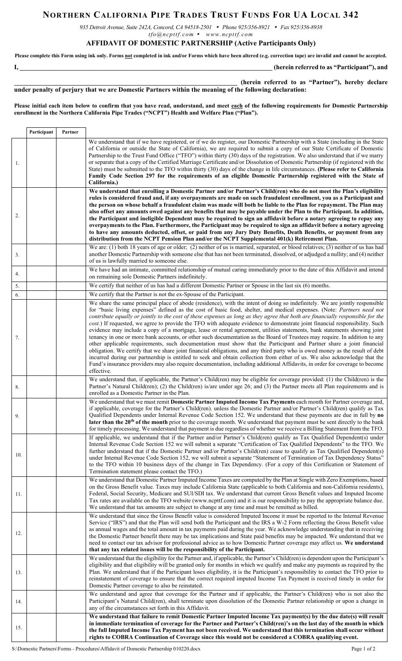## **NORTHERN CALIFORNIA PIPE TRADES TRUST FUNDS FOR UA LOCAL 342**

*935 Detroit Avenue, Suite 242A, Concord, CA 94518-2501 Phone 925/356-8921 Fax 925/356-8938* 

*tfo@ncpttf.com www.ncpttf.com*

## **AFFIDAVIT OF DOMESTIC PARTNERSHIP (Active Participants Only)**

**Please complete this Form using ink only. Forms not completed in ink and/or Forms which have been altered (e.g. correction tape) are invalid and cannot be accepted. I, \_\_\_\_\_\_\_\_\_\_\_\_\_\_\_\_\_\_\_\_\_\_\_\_\_\_\_\_\_\_\_\_\_\_\_\_\_\_\_\_\_\_\_\_\_\_\_\_\_\_\_\_\_\_\_\_\_\_\_\_\_\_\_\_\_\_\_\_\_\_\_\_\_\_\_\_\_ (herein referred to as "Participant"), and** 

**\_\_\_\_\_\_\_\_\_\_\_\_\_\_\_\_\_\_\_\_\_\_\_\_\_\_\_\_\_\_\_\_\_\_\_\_\_\_\_\_\_\_\_\_\_\_\_\_\_\_\_\_\_\_\_\_\_\_\_\_\_\_\_\_\_\_\_\_ (herein referred to as "Partner"), hereby declare under penalty of perjury that we are Domestic Partners within the meaning of the following declaration:**

**Please initial each item below to confirm that you have read, understand, and meet each of the following requirements for Domestic Partnership enrollment in the Northern California Pipe Trades ("NCPT") Health and Welfare Plan ("Plan").**

|     | Participant | Partner |                                                                                                                                                                                                                                                                                                                                                                                                                                                                                                                                                                                                                                                                                                                                                                                                                                                                                                                                                                                                                                                                                                                                                                                                                                                                                                                        |
|-----|-------------|---------|------------------------------------------------------------------------------------------------------------------------------------------------------------------------------------------------------------------------------------------------------------------------------------------------------------------------------------------------------------------------------------------------------------------------------------------------------------------------------------------------------------------------------------------------------------------------------------------------------------------------------------------------------------------------------------------------------------------------------------------------------------------------------------------------------------------------------------------------------------------------------------------------------------------------------------------------------------------------------------------------------------------------------------------------------------------------------------------------------------------------------------------------------------------------------------------------------------------------------------------------------------------------------------------------------------------------|
| 1.  |             |         | We understand that if we have registered, or if we do register, our Domestic Partnership with a State (including in the State<br>of California or outside the State of California), we are required to submit a copy of our State Certificate of Domestic<br>Partnership to the Trust Fund Office ("TFO") within thirty (30) days of the registration. We also understand that if we marry<br>or separate that a copy of the Certified Marriage Certificate and/or Dissolution of Domestic Partnership (if registered with the<br>State) must be submitted to the TFO within thirty (30) days of the change in life circumstances. (Please refer to California<br>Family Code Section 297 for the requirements of an eligible Domestic Partnership registered with the State of<br>California.)                                                                                                                                                                                                                                                                                                                                                                                                                                                                                                                        |
| 2.  |             |         | We understand that enrolling a Domestic Partner and/or Partner's Child(ren) who do not meet the Plan's eligibility<br>rules is considered fraud and, if any overpayments are made on such fraudulent enrollment, you as a Participant and<br>the person on whose behalf a fraudulent claim was made will both be liable to the Plan for repayment. The Plan may<br>also offset any amounts owed against any benefits that may be payable under the Plan to the Participant. In addition,<br>the Participant and ineligible Dependent may be required to sign an affidavit before a notary agreeing to repay any<br>overpayments to the Plan. Furthermore, the Participant may be required to sign an affidavit before a notary agreeing<br>to have any amounts deducted, offset, or paid from any Jury Duty Benefits, Death Benefits, or payment from any<br>distribution from the NCPT Pension Plan and/or the NCPT Supplemental 401(k) Retirement Plan.                                                                                                                                                                                                                                                                                                                                                              |
| 3.  |             |         | We are: (1) both 18 years of age or older; (2) neither of us is married, separated, or blood relatives; (3) neither of us has had<br>another Domestic Partnership with someone else that has not been terminated, dissolved, or adjudged a nullity; and (4) neither<br>of us is lawfully married to someone else.                                                                                                                                                                                                                                                                                                                                                                                                                                                                                                                                                                                                                                                                                                                                                                                                                                                                                                                                                                                                      |
| 4.  |             |         | We have had an intimate, committed relationship of mutual caring immediately prior to the date of this Affidavit and intend<br>on remaining sole Domestic Partners indefinitely.                                                                                                                                                                                                                                                                                                                                                                                                                                                                                                                                                                                                                                                                                                                                                                                                                                                                                                                                                                                                                                                                                                                                       |
| 5.  |             |         | We certify that neither of us has had a different Domestic Partner or Spouse in the last six (6) months.                                                                                                                                                                                                                                                                                                                                                                                                                                                                                                                                                                                                                                                                                                                                                                                                                                                                                                                                                                                                                                                                                                                                                                                                               |
| 6.  |             |         | We certify that the Partner is not the ex-Spouse of the Participant.                                                                                                                                                                                                                                                                                                                                                                                                                                                                                                                                                                                                                                                                                                                                                                                                                                                                                                                                                                                                                                                                                                                                                                                                                                                   |
| 7.  |             |         | We share the same principal place of abode (residence), with the intent of doing so indefinitely. We are jointly responsible<br>for "basic living expenses" defined as the cost of basic food, shelter, and medical expenses. (Note: Partners need not<br>contribute equally or jointly to the cost of these expenses as long as they agree that both are financially responsible for the<br>cost.) If requested, we agree to provide the TFO with adequate evidence to demonstrate joint financial responsibility. Such<br>evidence may include a copy of a mortgage, lease or rental agreement, utilities statements, bank statements showing joint<br>tenancy in one or more bank accounts, or other such documentation as the Board of Trustees may require. In addition to any<br>other applicable requirements, such documentation must show that the Participant and Partner share a joint financial<br>obligation. We certify that we share joint financial obligations, and any third party who is owed money as the result of debt<br>incurred during our partnership is entitled to seek and obtain collection from either of us. We also acknowledge that the<br>Fund's insurance providers may also require documentation, including additional Affidavits, in order for coverage to become<br>effective. |
| 8.  |             |         | We understand that, if applicable, the Partner's Child(ren) may be eligible for coverage provided: (1) the Child(ren) is the<br>Partner's Natural Child(ren); (2) the Child(ren) is/are under age 26; and (3) the Partner meets all Plan requirements and is<br>enrolled as a Domestic Partner in the Plan.                                                                                                                                                                                                                                                                                                                                                                                                                                                                                                                                                                                                                                                                                                                                                                                                                                                                                                                                                                                                            |
| 9.  |             |         | We understand that we must remit Domestic Partner Imputed Income Tax Payments each month for Partner coverage and,<br>if applicable, coverage for the Partner's Child(ren), unless the Domestic Partner and/or Partner's Child(ren) qualify as Tax<br>Qualified Dependents under Internal Revenue Code Section 152. We understand that these payments are due in full by no<br>later than the 20 <sup>th</sup> of the month prior to the coverage month. We understand that payment must be sent directly to the bank<br>for timely processing. We understand that payment is due regardless of whether we receive a Billing Statement from the TFO.                                                                                                                                                                                                                                                                                                                                                                                                                                                                                                                                                                                                                                                                   |
| 10. |             |         | If applicable, we understand that if the Partner and/or Partner's Child(ren) qualify as Tax Qualified Dependent(s) under<br>Internal Revenue Code Section 152 we will submit a separate "Certification of Tax Qualified Dependents" to the TFO. We<br>further understand that if the Domestic Partner and/or Partner's Child(ren) cease to qualify as Tax Qualified Dependent(s)<br>under Internal Revenue Code Section 152, we will submit a separate "Statement of Termination of Tax Dependency Status"<br>to the TFO within 10 business days of the change in Tax Dependency. (For a copy of this Certification or Statement of<br>Termination statement please contact the TFO.)                                                                                                                                                                                                                                                                                                                                                                                                                                                                                                                                                                                                                                  |
| 11. |             |         | We understand that Domestic Partner Imputed Income Taxes are computed by the Plan at Single with Zero Exemptions, based<br>on the Gross Benefit value. Taxes may include California State (applicable to both California and non-California residents),<br>Federal, Social Security, Medicare and SUI/SDI tax. We understand that current Gross Benefit values and Imputed Income<br>Tax rates are available on the TFO website (www.ncpttf.com) and it is our responsibility to pay the appropriate balance due.<br>We understand that tax amounts are subject to change at any time and must be remitted as billed.                                                                                                                                                                                                                                                                                                                                                                                                                                                                                                                                                                                                                                                                                                  |
| 12. |             |         | We understand that since the Gross Benefit value is considered Imputed Income it must be reported to the Internal Revenue<br>Service ("IRS") and that the Plan will send both the Participant and the IRS a W-2 Form reflecting the Gross Benefit value<br>as annual wages and the total amount in tax payments paid during the year. We acknowledge understanding that in receiving<br>the Domestic Partner benefit there may be tax implications and State paid benefits may be impacted. We understand that we<br>need to contact our tax advisor for professional advice as to how Domestic Partner coverage may affect us. We understand<br>that any tax related issues will be the responsibility of the Participant.                                                                                                                                                                                                                                                                                                                                                                                                                                                                                                                                                                                            |
| 13. |             |         | We understand that the eligibility for the Partner and, if applicable, the Partner's Child(ren) is dependent upon the Participant's<br>eligibility and that eligibility will be granted only for months in which we qualify and make any payments as required by the<br>Plan. We understand that if the Participant loses eligibility, it is the Participant's responsibility to contact the TFO prior to<br>reinstatement of coverage to ensure that the correct required imputed Income Tax Payment is received timely in order for<br>Domestic Partner coverage to also be reinstated.                                                                                                                                                                                                                                                                                                                                                                                                                                                                                                                                                                                                                                                                                                                              |
| 14. |             |         | We understand and agree that coverage for the Partner and if applicable, the Partner's Child(ren) who is not also the<br>Participant's Natural Child(ren), shall terminate upon dissolution of the Domestic Partner relationship or upon a change in<br>any of the circumstances set forth in this Affidavit.                                                                                                                                                                                                                                                                                                                                                                                                                                                                                                                                                                                                                                                                                                                                                                                                                                                                                                                                                                                                          |
| 15. |             |         | We understand that failure to remit Domestic Partner Imputed Income Tax payment(s) by the due date(s) will result<br>in immediate termination of coverage for the Partner and Partner's Child(ren)'s on the last day of the month in which<br>the full Imputed Income Tax Payment has not been received. We understand that this termination shall occur without<br>rights to COBRA Continuation of Coverage since this would not be considered a COBRA qualifying event.                                                                                                                                                                                                                                                                                                                                                                                                                                                                                                                                                                                                                                                                                                                                                                                                                                              |